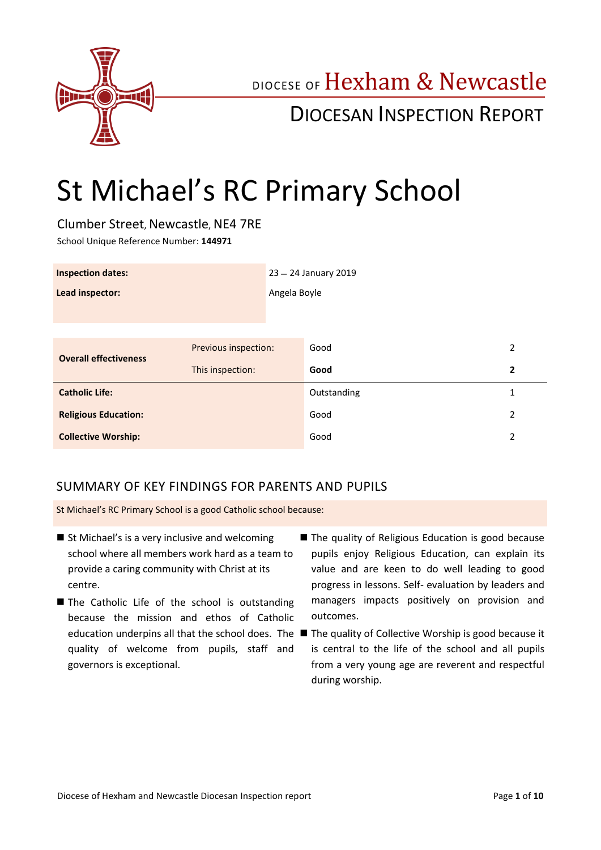

## DIOCESE OF Hexham & Newcastle

## DIOCESAN INSPECTION REPORT

# St Michael's RC Primary School

Clumber Street, Newcastle, NE4 7RE School Unique Reference Number: **144971**

| <b>Inspection dates:</b>     |                      | 23 - 24 January 2019 |             |   |
|------------------------------|----------------------|----------------------|-------------|---|
| Lead inspector:              |                      | Angela Boyle         |             |   |
|                              |                      |                      |             |   |
|                              |                      |                      |             |   |
| <b>Overall effectiveness</b> | Previous inspection: |                      | Good        | 2 |
|                              | This inspection:     |                      | Good        | 2 |
| <b>Catholic Life:</b>        |                      |                      | Outstanding | 1 |
| <b>Religious Education:</b>  |                      |                      | Good        | 2 |
| <b>Collective Worship:</b>   |                      |                      | Good        | 2 |

## SUMMARY OF KEY FINDINGS FOR PARENTS AND PUPILS

St Michael's RC Primary School is a good Catholic school because:

- St Michael's is a very inclusive and welcoming school where all members work hard as a team to provide a caring community with Christ at its centre.
- The Catholic Life of the school is outstanding because the mission and ethos of Catholic quality of welcome from pupils, staff and governors is exceptional.
- The quality of Religious Education is good because pupils enjoy Religious Education, can explain its value and are keen to do well leading to good progress in lessons. Self- evaluation by leaders and managers impacts positively on provision and outcomes.
- education underpins all that the school does. The  $\blacksquare$  The quality of Collective Worship is good because it is central to the life of the school and all pupils from a very young age are reverent and respectful during worship.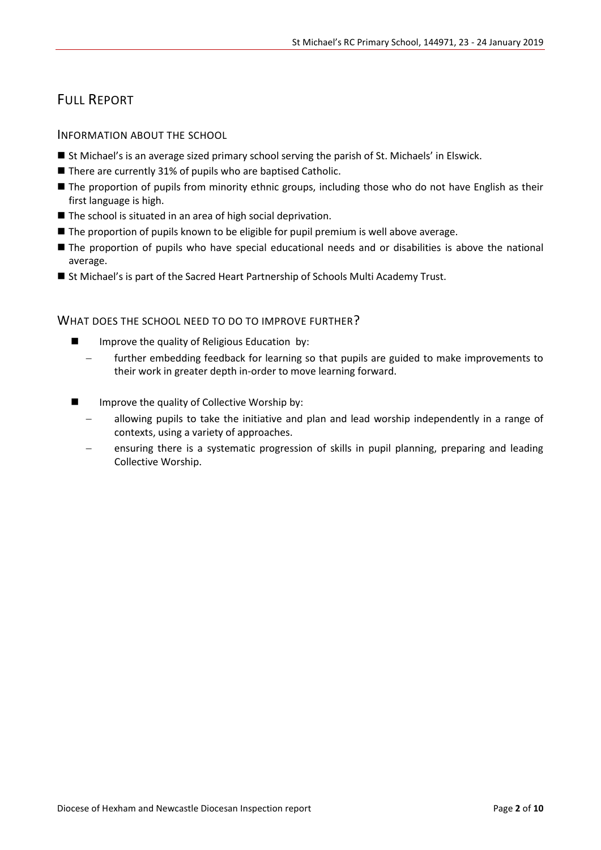## FULL REPORT

#### INFORMATION ABOUT THE SCHOOL

- St Michael's is an average sized primary school serving the parish of St. Michaels' in Elswick.
- There are currently 31% of pupils who are baptised Catholic.
- **The proportion of pupils from minority ethnic groups, including those who do not have English as their** first language is high.
- The school is situated in an area of high social deprivation.
- The proportion of pupils known to be eligible for pupil premium is well above average.
- The proportion of pupils who have special educational needs and or disabilities is above the national average.
- St Michael's is part of the Sacred Heart Partnership of Schools Multi Academy Trust.

#### WHAT DOES THE SCHOOL NEED TO DO TO IMPROVE FURTHER?

- **IMPROVE THE GUALITY OF RELIGIOUS Education by:** 
	- further embedding feedback for learning so that pupils are guided to make improvements to their work in greater depth in-order to move learning forward.
- **IMPROVE THE GUALLY OF COLLECTIVE WORSHIP by:** 
	- allowing pupils to take the initiative and plan and lead worship independently in a range of contexts, using a variety of approaches.
	- ensuring there is a systematic progression of skills in pupil planning, preparing and leading Collective Worship.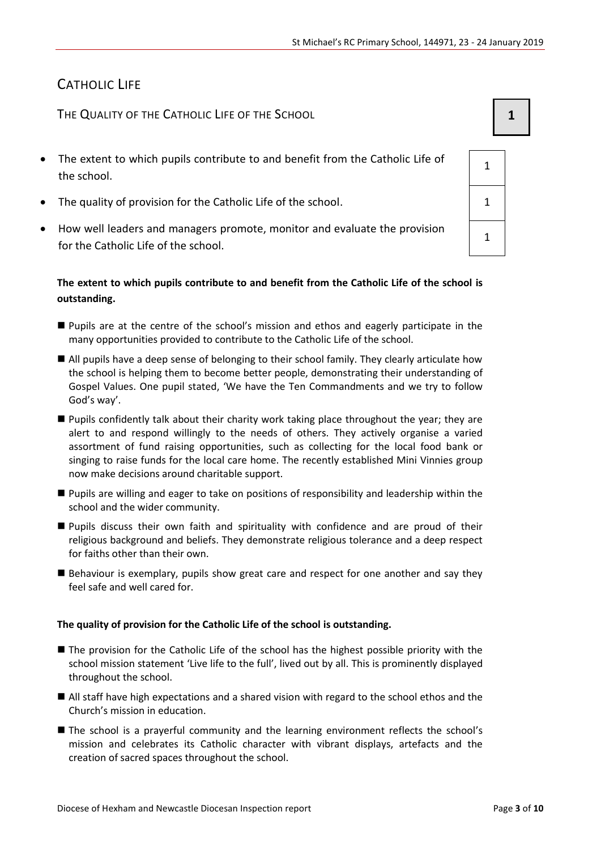## CATHOLIC LIFE

THE QUALITY OF THE CATHOLIC LIFE OF THE SCHOOL **1 1** 

- The extent to which pupils contribute to and benefit from the Catholic Life of the school.
- The quality of provision for the Catholic Life of the school.  $1 \t 1$
- How well leaders and managers promote, monitor and evaluate the provision for the Catholic Life of the school.

#### **The extent to which pupils contribute to and benefit from the Catholic Life of the school is outstanding.**

- Pupils are at the centre of the school's mission and ethos and eagerly participate in the many opportunities provided to contribute to the Catholic Life of the school.
- All pupils have a deep sense of belonging to their school family. They clearly articulate how the school is helping them to become better people, demonstrating their understanding of Gospel Values. One pupil stated, 'We have the Ten Commandments and we try to follow God's way'.
- Pupils confidently talk about their charity work taking place throughout the year; they are alert to and respond willingly to the needs of others. They actively organise a varied assortment of fund raising opportunities, such as collecting for the local food bank or singing to raise funds for the local care home. The recently established Mini Vinnies group now make decisions around charitable support.
- Pupils are willing and eager to take on positions of responsibility and leadership within the school and the wider community.
- Pupils discuss their own faith and spirituality with confidence and are proud of their religious background and beliefs. They demonstrate religious tolerance and a deep respect for faiths other than their own.
- Behaviour is exemplary, pupils show great care and respect for one another and say they feel safe and well cared for.

#### **The quality of provision for the Catholic Life of the school is outstanding.**

- The provision for the Catholic Life of the school has the highest possible priority with the school mission statement 'Live life to the full', lived out by all. This is prominently displayed throughout the school.
- All staff have high expectations and a shared vision with regard to the school ethos and the Church's mission in education.
- The school is a prayerful community and the learning environment reflects the school's mission and celebrates its Catholic character with vibrant displays, artefacts and the creation of sacred spaces throughout the school.

1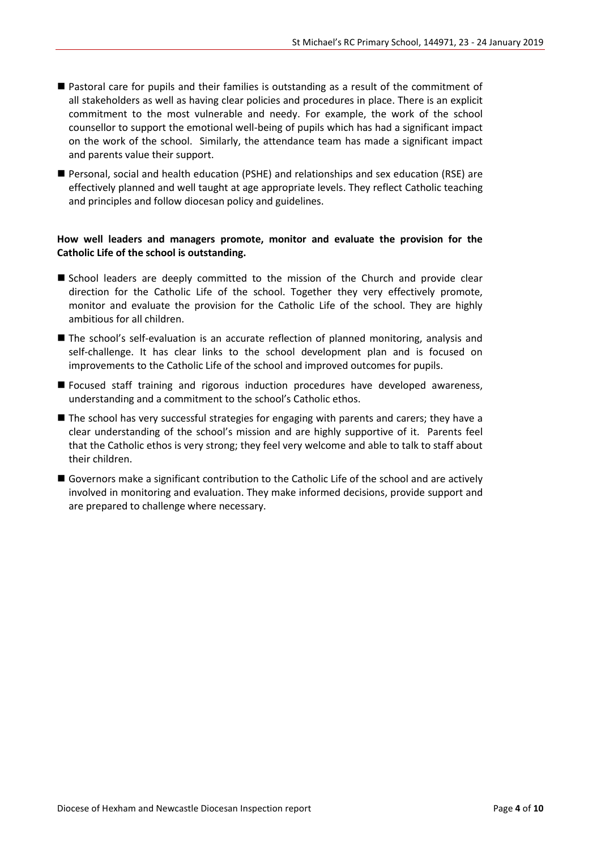- Pastoral care for pupils and their families is outstanding as a result of the commitment of all stakeholders as well as having clear policies and procedures in place. There is an explicit commitment to the most vulnerable and needy. For example, the work of the school counsellor to support the emotional well-being of pupils which has had a significant impact on the work of the school. Similarly, the attendance team has made a significant impact and parents value their support.
- Personal, social and health education (PSHE) and relationships and sex education (RSE) are effectively planned and well taught at age appropriate levels. They reflect Catholic teaching and principles and follow diocesan policy and guidelines.

#### **How well leaders and managers promote, monitor and evaluate the provision for the Catholic Life of the school is outstanding.**

- School leaders are deeply committed to the mission of the Church and provide clear direction for the Catholic Life of the school. Together they very effectively promote, monitor and evaluate the provision for the Catholic Life of the school. They are highly ambitious for all children.
- The school's self-evaluation is an accurate reflection of planned monitoring, analysis and self-challenge. It has clear links to the school development plan and is focused on improvements to the Catholic Life of the school and improved outcomes for pupils.
- Focused staff training and rigorous induction procedures have developed awareness, understanding and a commitment to the school's Catholic ethos.
- The school has very successful strategies for engaging with parents and carers; they have a clear understanding of the school's mission and are highly supportive of it. Parents feel that the Catholic ethos is very strong; they feel very welcome and able to talk to staff about their children.
- Governors make a significant contribution to the Catholic Life of the school and are actively involved in monitoring and evaluation. They make informed decisions, provide support and are prepared to challenge where necessary.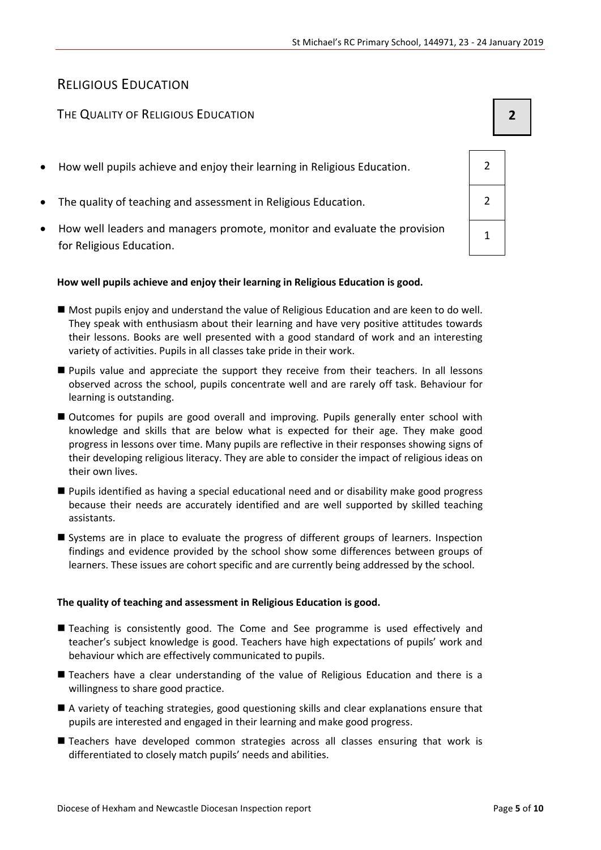## RELIGIOUS EDUCATION

### THE QUALITY OF RELIGIOUS EDUCATION **2**

- How well pupils achieve and enjoy their learning in Religious Education. 2
- The quality of teaching and assessment in Religious Education. 2
- How well leaders and managers promote, monitor and evaluate the provision for Religious Education.

#### **How well pupils achieve and enjoy their learning in Religious Education is good.**

- Most pupils enjoy and understand the value of Religious Education and are keen to do well. They speak with enthusiasm about their learning and have very positive attitudes towards their lessons. Books are well presented with a good standard of work and an interesting variety of activities. Pupils in all classes take pride in their work.
- Pupils value and appreciate the support they receive from their teachers. In all lessons observed across the school, pupils concentrate well and are rarely off task. Behaviour for learning is outstanding.
- Outcomes for pupils are good overall and improving. Pupils generally enter school with knowledge and skills that are below what is expected for their age. They make good progress in lessons over time. Many pupils are reflective in their responses showing signs of their developing religious literacy. They are able to consider the impact of religious ideas on their own lives.
- Pupils identified as having a special educational need and or disability make good progress because their needs are accurately identified and are well supported by skilled teaching assistants.
- Systems are in place to evaluate the progress of different groups of learners. Inspection findings and evidence provided by the school show some differences between groups of learners. These issues are cohort specific and are currently being addressed by the school.

#### **The quality of teaching and assessment in Religious Education is good.**

- Teaching is consistently good. The Come and See programme is used effectively and teacher's subject knowledge is good. Teachers have high expectations of pupils' work and behaviour which are effectively communicated to pupils.
- Teachers have a clear understanding of the value of Religious Education and there is a willingness to share good practice.
- A variety of teaching strategies, good questioning skills and clear explanations ensure that pupils are interested and engaged in their learning and make good progress.
- Teachers have developed common strategies across all classes ensuring that work is differentiated to closely match pupils' needs and abilities.

| $\overline{c}$ |  |
|----------------|--|
| $\overline{2}$ |  |
| $\mathbf 1$    |  |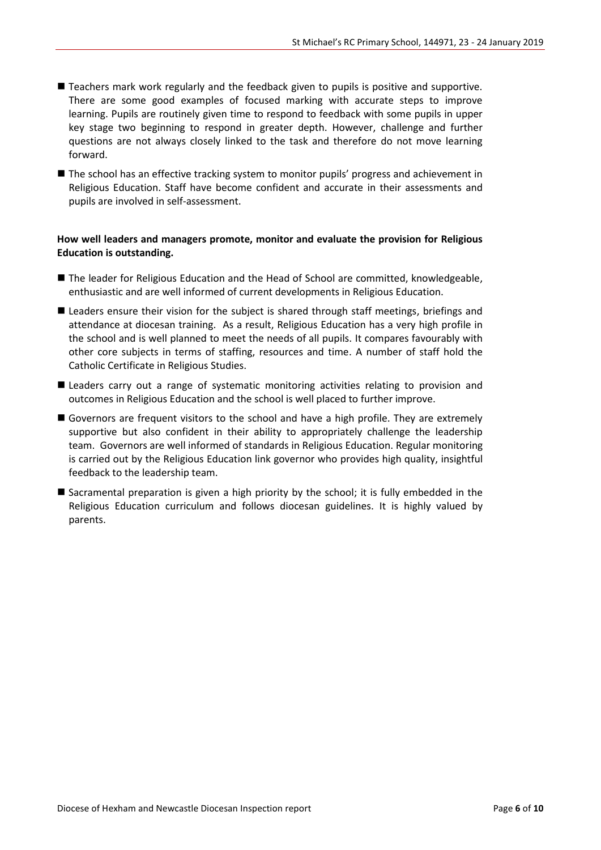- Teachers mark work regularly and the feedback given to pupils is positive and supportive. There are some good examples of focused marking with accurate steps to improve learning. Pupils are routinely given time to respond to feedback with some pupils in upper key stage two beginning to respond in greater depth. However, challenge and further questions are not always closely linked to the task and therefore do not move learning forward.
- The school has an effective tracking system to monitor pupils' progress and achievement in Religious Education. Staff have become confident and accurate in their assessments and pupils are involved in self-assessment.

#### **How well leaders and managers promote, monitor and evaluate the provision for Religious Education is outstanding.**

- The leader for Religious Education and the Head of School are committed, knowledgeable, enthusiastic and are well informed of current developments in Religious Education.
- Leaders ensure their vision for the subject is shared through staff meetings, briefings and attendance at diocesan training. As a result, Religious Education has a very high profile in the school and is well planned to meet the needs of all pupils. It compares favourably with other core subjects in terms of staffing, resources and time. A number of staff hold the Catholic Certificate in Religious Studies.
- Leaders carry out a range of systematic monitoring activities relating to provision and outcomes in Religious Education and the school is well placed to further improve.
- Governors are frequent visitors to the school and have a high profile. They are extremely supportive but also confident in their ability to appropriately challenge the leadership team. Governors are well informed of standards in Religious Education. Regular monitoring is carried out by the Religious Education link governor who provides high quality, insightful feedback to the leadership team.
- Sacramental preparation is given a high priority by the school; it is fully embedded in the Religious Education curriculum and follows diocesan guidelines. It is highly valued by parents.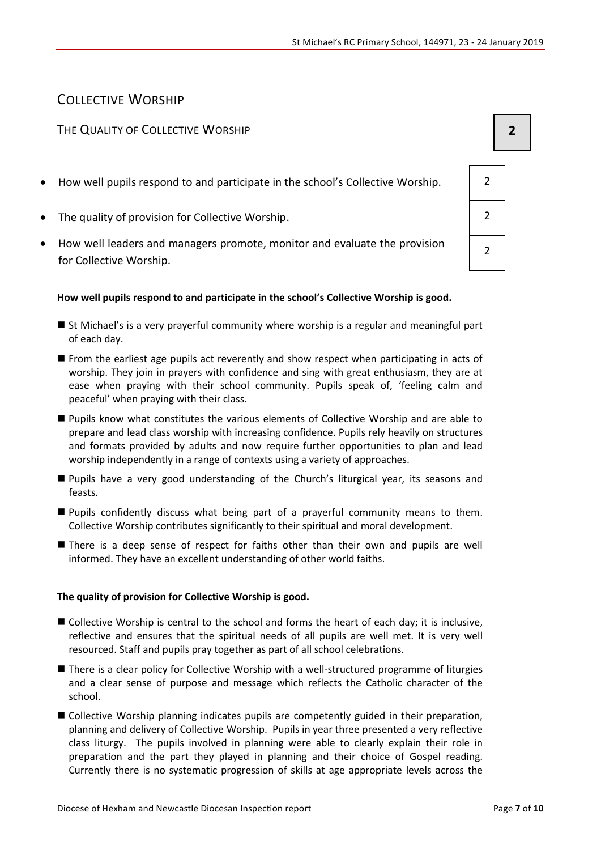### COLLECTIVE WORSHIP

### THE QUALITY OF COLLECTIVE WORSHIP **2**

- How well pupils respond to and participate in the school's Collective Worship. 2
- The quality of provision for Collective Worship.
- How well leaders and managers promote, monitor and evaluate the provision for Collective Worship.

#### **How well pupils respond to and participate in the school's Collective Worship is good.**

- St Michael's is a very prayerful community where worship is a regular and meaningful part of each day.
- From the earliest age pupils act reverently and show respect when participating in acts of worship. They join in prayers with confidence and sing with great enthusiasm, they are at ease when praying with their school community. Pupils speak of, 'feeling calm and peaceful' when praying with their class.
- Pupils know what constitutes the various elements of Collective Worship and are able to prepare and lead class worship with increasing confidence. Pupils rely heavily on structures and formats provided by adults and now require further opportunities to plan and lead worship independently in a range of contexts using a variety of approaches.
- Pupils have a very good understanding of the Church's liturgical year, its seasons and feasts.
- Pupils confidently discuss what being part of a prayerful community means to them. Collective Worship contributes significantly to their spiritual and moral development.
- **There is a deep sense of respect for faiths other than their own and pupils are well** informed. They have an excellent understanding of other world faiths.

#### **The quality of provision for Collective Worship is good.**

- Collective Worship is central to the school and forms the heart of each day; it is inclusive, reflective and ensures that the spiritual needs of all pupils are well met. It is very well resourced. Staff and pupils pray together as part of all school celebrations.
- There is a clear policy for Collective Worship with a well-structured programme of liturgies and a clear sense of purpose and message which reflects the Catholic character of the school.
- Collective Worship planning indicates pupils are competently guided in their preparation, planning and delivery of Collective Worship. Pupils in year three presented a very reflective class liturgy. The pupils involved in planning were able to clearly explain their role in preparation and the part they played in planning and their choice of Gospel reading. Currently there is no systematic progression of skills at age appropriate levels across the

| $\overline{2}$ |  |
|----------------|--|
| $\overline{2}$ |  |
| $\overline{2}$ |  |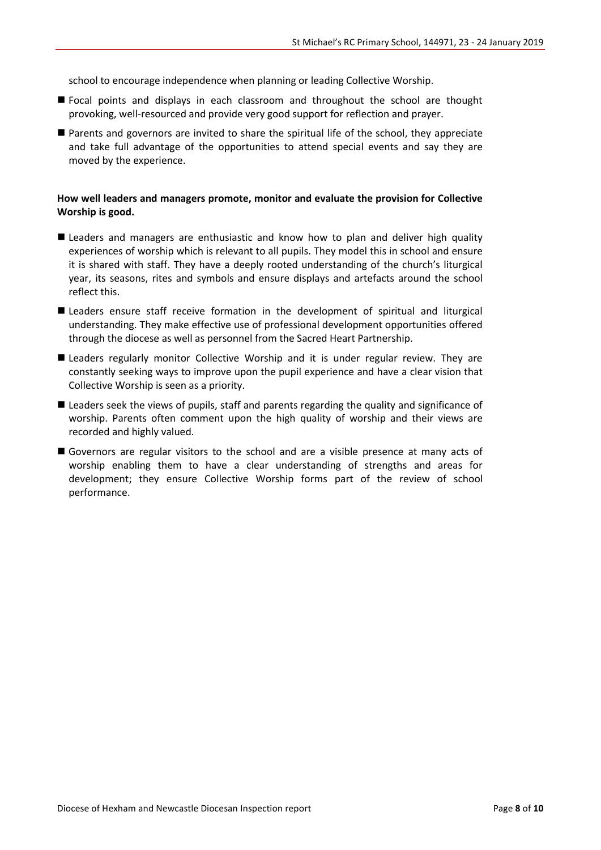school to encourage independence when planning or leading Collective Worship.

- Focal points and displays in each classroom and throughout the school are thought provoking, well-resourced and provide very good support for reflection and prayer.
- Parents and governors are invited to share the spiritual life of the school, they appreciate and take full advantage of the opportunities to attend special events and say they are moved by the experience.

#### **How well leaders and managers promote, monitor and evaluate the provision for Collective Worship is good.**

- Leaders and managers are enthusiastic and know how to plan and deliver high quality experiences of worship which is relevant to all pupils. They model this in school and ensure it is shared with staff. They have a deeply rooted understanding of the church's liturgical year, its seasons, rites and symbols and ensure displays and artefacts around the school reflect this.
- **E** Leaders ensure staff receive formation in the development of spiritual and liturgical understanding. They make effective use of professional development opportunities offered through the diocese as well as personnel from the Sacred Heart Partnership.
- **E** Leaders regularly monitor Collective Worship and it is under regular review. They are constantly seeking ways to improve upon the pupil experience and have a clear vision that Collective Worship is seen as a priority.
- Leaders seek the views of pupils, staff and parents regarding the quality and significance of worship. Parents often comment upon the high quality of worship and their views are recorded and highly valued.
- Governors are regular visitors to the school and are a visible presence at many acts of worship enabling them to have a clear understanding of strengths and areas for development; they ensure Collective Worship forms part of the review of school performance.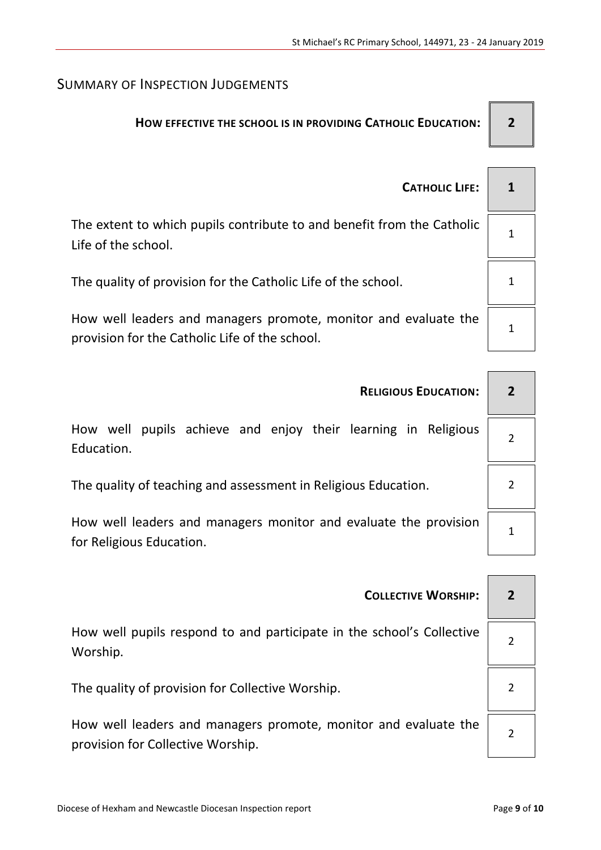## SUMMARY OF INSPECTION JUDGEMENTS

## **HOW EFFECTIVE THE SCHOOL IS IN PROVIDING CATHOLIC EDUCATION: 2**

 $\overline{\phantom{a}}$ 

 $\overline{\phantom{0}}$ 

| <b>CATHOLIC LIFE:</b>                                                                                             |  |
|-------------------------------------------------------------------------------------------------------------------|--|
| The extent to which pupils contribute to and benefit from the Catholic<br>Life of the school.                     |  |
| The quality of provision for the Catholic Life of the school.                                                     |  |
| How well leaders and managers promote, monitor and evaluate the<br>provision for the Catholic Life of the school. |  |

| <b>RELIGIOUS EDUCATION:</b>                                                                  |  |
|----------------------------------------------------------------------------------------------|--|
| pupils achieve and enjoy their learning in Religious<br>How well<br>Education.               |  |
| The quality of teaching and assessment in Religious Education.                               |  |
| How well leaders and managers monitor and evaluate the provision<br>for Religious Education. |  |

| <b>COLLECTIVE WORSHIP:</b>                                                                           |  |
|------------------------------------------------------------------------------------------------------|--|
| How well pupils respond to and participate in the school's Collective<br>Worship.                    |  |
| The quality of provision for Collective Worship.                                                     |  |
| How well leaders and managers promote, monitor and evaluate the<br>provision for Collective Worship. |  |